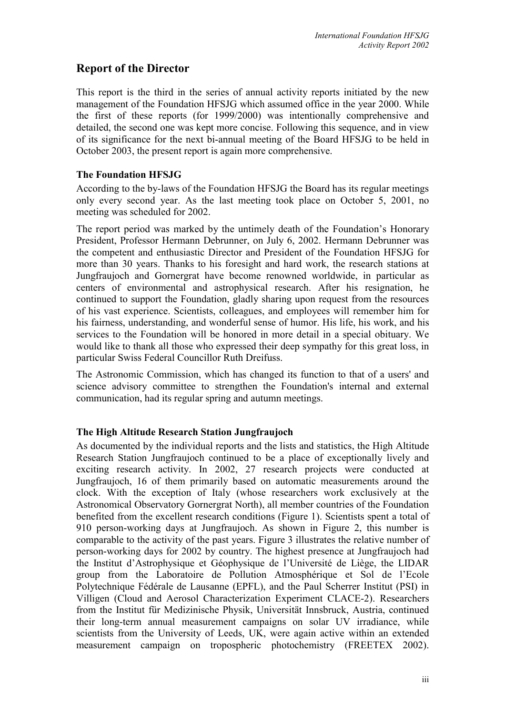# **Report of the Director**

This report is the third in the series of annual activity reports initiated by the new management of the Foundation HFSJG which assumed office in the year 2000. While the first of these reports (for 1999/2000) was intentionally comprehensive and detailed, the second one was kept more concise. Following this sequence, and in view of its significance for the next bi-annual meeting of the Board HFSJG to be held in October 2003, the present report is again more comprehensive.

## **The Foundation HFSJG**

According to the by-laws of the Foundation HFSJG the Board has its regular meetings only every second year. As the last meeting took place on October 5, 2001, no meeting was scheduled for 2002.

The report period was marked by the untimely death of the Foundation's Honorary President, Professor Hermann Debrunner, on July 6, 2002. Hermann Debrunner was the competent and enthusiastic Director and President of the Foundation HFSJG for more than 30 years. Thanks to his foresight and hard work, the research stations at Jungfraujoch and Gornergrat have become renowned worldwide, in particular as centers of environmental and astrophysical research. After his resignation, he continued to support the Foundation, gladly sharing upon request from the resources of his vast experience. Scientists, colleagues, and employees will remember him for his fairness, understanding, and wonderful sense of humor. His life, his work, and his services to the Foundation will be honored in more detail in a special obituary. We would like to thank all those who expressed their deep sympathy for this great loss, in particular Swiss Federal Councillor Ruth Dreifuss.

The Astronomic Commission, which has changed its function to that of a users' and science advisory committee to strengthen the Foundation's internal and external communication, had its regular spring and autumn meetings.

### **The High Altitude Research Station Jungfraujoch**

As documented by the individual reports and the lists and statistics, the High Altitude Research Station Jungfraujoch continued to be a place of exceptionally lively and exciting research activity. In 2002, 27 research projects were conducted at Jungfraujoch, 16 of them primarily based on automatic measurements around the clock. With the exception of Italy (whose researchers work exclusively at the Astronomical Observatory Gornergrat North), all member countries of the Foundation benefited from the excellent research conditions (Figure 1). Scientists spent a total of 910 person-working days at Jungfraujoch. As shown in Figure 2, this number is comparable to the activity of the past years. Figure 3 illustrates the relative number of person-working days for 2002 by country. The highest presence at Jungfraujoch had the Institut d'Astrophysique et Géophysique de l'Université de Liège, the LIDAR group from the Laboratoire de Pollution Atmosphérique et Sol de l'Ecole Polytechnique Fédérale de Lausanne (EPFL), and the Paul Scherrer Institut (PSI) in Villigen (Cloud and Aerosol Characterization Experiment CLACE-2). Researchers from the Institut für Medizinische Physik, Universität Innsbruck, Austria, continued their long-term annual measurement campaigns on solar UV irradiance, while scientists from the University of Leeds, UK, were again active within an extended measurement campaign on tropospheric photochemistry (FREETEX 2002).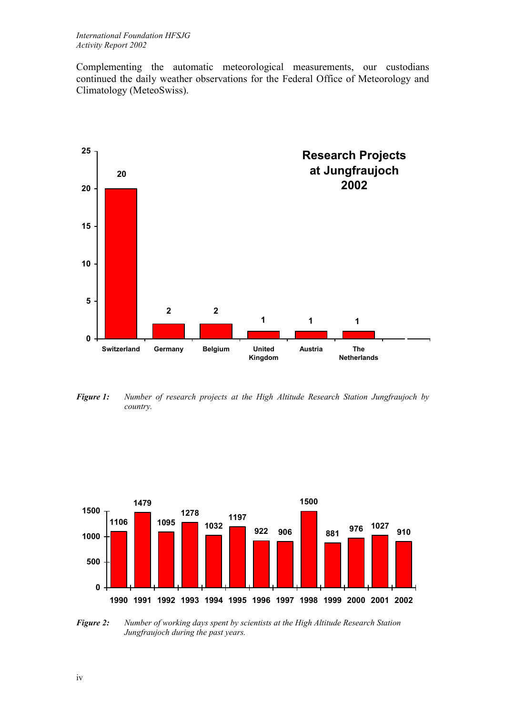Complementing the automatic meteorological measurements, our custodians continued the daily weather observations for the Federal Office of Meteorology and Climatology (MeteoSwiss).



*Figure 1: Number of research projects at the High Altitude Research Station Jungfraujoch by country.* 



*Figure 2: Number of working days spent by scientists at the High Altitude Research Station Jungfraujoch during the past years.*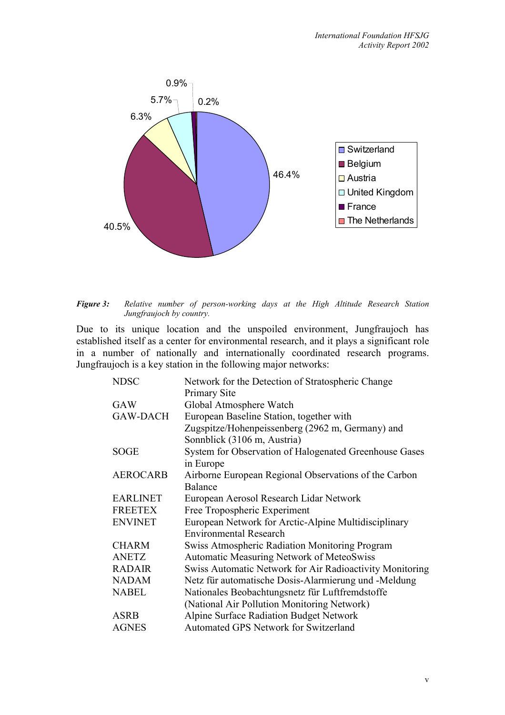

*Figure 3: Relative number of person-working days at the High Altitude Research Station Jungfraujoch by country.* 

Due to its unique location and the unspoiled environment, Jungfraujoch has established itself as a center for environmental research, and it plays a significant role in a number of nationally and internationally coordinated research programs. Jungfraujoch is a key station in the following major networks:

| Network for the Detection of Stratospheric Change        |
|----------------------------------------------------------|
| <b>Primary Site</b>                                      |
| Global Atmosphere Watch                                  |
| European Baseline Station, together with                 |
| Zugspitze/Hohenpeissenberg (2962 m, Germany) and         |
| Sonnblick (3106 m, Austria)                              |
| System for Observation of Halogenated Greenhouse Gases   |
| in Europe                                                |
| Airborne European Regional Observations of the Carbon    |
| <b>Balance</b>                                           |
| European Aerosol Research Lidar Network                  |
| Free Tropospheric Experiment                             |
| European Network for Arctic-Alpine Multidisciplinary     |
| <b>Environmental Research</b>                            |
| <b>Swiss Atmospheric Radiation Monitoring Program</b>    |
| <b>Automatic Measuring Network of MeteoSwiss</b>         |
| Swiss Automatic Network for Air Radioactivity Monitoring |
| Netz für automatische Dosis-Alarmierung und -Meldung     |
| Nationales Beobachtungsnetz für Luftfremdstoffe          |
| (National Air Pollution Monitoring Network)              |
| Alpine Surface Radiation Budget Network                  |
| Automated GPS Network for Switzerland                    |
|                                                          |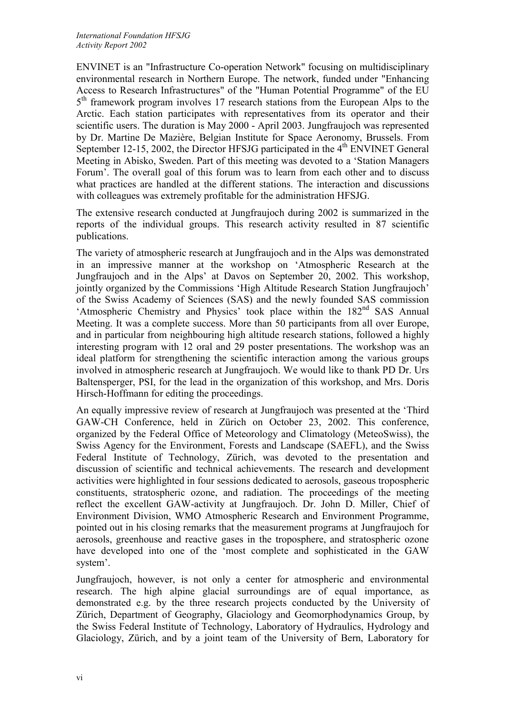ENVINET is an "Infrastructure Co-operation Network" focusing on multidisciplinary environmental research in Northern Europe. The network, funded under "Enhancing Access to Research Infrastructures" of the "Human Potential Programme" of the EU 5<sup>th</sup> framework program involves 17 research stations from the European Alps to the Arctic. Each station participates with representatives from its operator and their scientific users. The duration is May 2000 - April 2003. Jungfraujoch was represented by Dr. Martine De Mazière, Belgian Institute for Space Aeronomy, Brussels. From September 12-15, 2002, the Director HFSJG participated in the  $4<sup>th</sup>$  ENVINET General Meeting in Abisko, Sweden. Part of this meeting was devoted to a 'Station Managers Forum'. The overall goal of this forum was to learn from each other and to discuss what practices are handled at the different stations. The interaction and discussions with colleagues was extremely profitable for the administration HFSJG.

The extensive research conducted at Jungfraujoch during 2002 is summarized in the reports of the individual groups. This research activity resulted in 87 scientific publications.

The variety of atmospheric research at Jungfraujoch and in the Alps was demonstrated in an impressive manner at the workshop on 'Atmospheric Research at the Jungfraujoch and in the Alps' at Davos on September 20, 2002. This workshop, jointly organized by the Commissions 'High Altitude Research Station Jungfraujoch' of the Swiss Academy of Sciences (SAS) and the newly founded SAS commission 'Atmospheric Chemistry and Physics' took place within the 182<sup>nd</sup> SAS Annual Meeting. It was a complete success. More than 50 participants from all over Europe, and in particular from neighbouring high altitude research stations, followed a highly interesting program with 12 oral and 29 poster presentations. The workshop was an ideal platform for strengthening the scientific interaction among the various groups involved in atmospheric research at Jungfraujoch. We would like to thank PD Dr. Urs Baltensperger, PSI, for the lead in the organization of this workshop, and Mrs. Doris Hirsch-Hoffmann for editing the proceedings.

An equally impressive review of research at Jungfraujoch was presented at the 'Third GAW-CH Conference, held in Zürich on October 23, 2002. This conference, organized by the Federal Office of Meteorology and Climatology (MeteoSwiss), the Swiss Agency for the Environment, Forests and Landscape (SAEFL), and the Swiss Federal Institute of Technology, Zürich, was devoted to the presentation and discussion of scientific and technical achievements. The research and development activities were highlighted in four sessions dedicated to aerosols, gaseous tropospheric constituents, stratospheric ozone, and radiation. The proceedings of the meeting reflect the excellent GAW-activity at Jungfraujoch. Dr. John D. Miller, Chief of Environment Division, WMO Atmospheric Research and Environment Programme, pointed out in his closing remarks that the measurement programs at Jungfraujoch for aerosols, greenhouse and reactive gases in the troposphere, and stratospheric ozone have developed into one of the 'most complete and sophisticated in the GAW system'.

Jungfraujoch, however, is not only a center for atmospheric and environmental research. The high alpine glacial surroundings are of equal importance, as demonstrated e.g. by the three research projects conducted by the University of Zürich, Department of Geography, Glaciology and Geomorphodynamics Group, by the Swiss Federal Institute of Technology, Laboratory of Hydraulics, Hydrology and Glaciology, Zürich, and by a joint team of the University of Bern, Laboratory for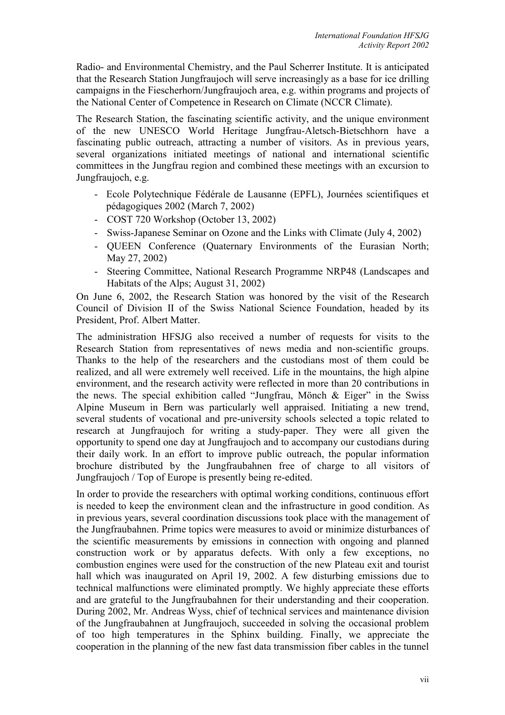Radio- and Environmental Chemistry, and the Paul Scherrer Institute. It is anticipated that the Research Station Jungfraujoch will serve increasingly as a base for ice drilling campaigns in the Fiescherhorn/Jungfraujoch area, e.g. within programs and projects of the National Center of Competence in Research on Climate (NCCR Climate).

The Research Station, the fascinating scientific activity, and the unique environment of the new UNESCO World Heritage Jungfrau-Aletsch-Bietschhorn have a fascinating public outreach, attracting a number of visitors. As in previous years, several organizations initiated meetings of national and international scientific committees in the Jungfrau region and combined these meetings with an excursion to Jungfraujoch, e.g.

- Ecole Polytechnique Fédérale de Lausanne (EPFL), Journées scientifiques et pédagogiques 2002 (March 7, 2002)
- COST 720 Workshop (October 13, 2002)
- Swiss-Japanese Seminar on Ozone and the Links with Climate (July 4, 2002)
- QUEEN Conference (Quaternary Environments of the Eurasian North; May 27, 2002)
- Steering Committee, National Research Programme NRP48 (Landscapes and Habitats of the Alps; August 31, 2002)

On June 6, 2002, the Research Station was honored by the visit of the Research Council of Division II of the Swiss National Science Foundation, headed by its President, Prof. Albert Matter.

The administration HFSJG also received a number of requests for visits to the Research Station from representatives of news media and non-scientific groups. Thanks to the help of the researchers and the custodians most of them could be realized, and all were extremely well received. Life in the mountains, the high alpine environment, and the research activity were reflected in more than 20 contributions in the news. The special exhibition called "Jungfrau, Mönch & Eiger" in the Swiss Alpine Museum in Bern was particularly well appraised. Initiating a new trend, several students of vocational and pre-university schools selected a topic related to research at Jungfraujoch for writing a study-paper. They were all given the opportunity to spend one day at Jungfraujoch and to accompany our custodians during their daily work. In an effort to improve public outreach, the popular information brochure distributed by the Jungfraubahnen free of charge to all visitors of Jungfraujoch / Top of Europe is presently being re-edited.

In order to provide the researchers with optimal working conditions, continuous effort is needed to keep the environment clean and the infrastructure in good condition. As in previous years, several coordination discussions took place with the management of the Jungfraubahnen. Prime topics were measures to avoid or minimize disturbances of the scientific measurements by emissions in connection with ongoing and planned construction work or by apparatus defects. With only a few exceptions, no combustion engines were used for the construction of the new Plateau exit and tourist hall which was inaugurated on April 19, 2002. A few disturbing emissions due to technical malfunctions were eliminated promptly. We highly appreciate these efforts and are grateful to the Jungfraubahnen for their understanding and their cooperation. During 2002, Mr. Andreas Wyss, chief of technical services and maintenance division of the Jungfraubahnen at Jungfraujoch, succeeded in solving the occasional problem of too high temperatures in the Sphinx building. Finally, we appreciate the cooperation in the planning of the new fast data transmission fiber cables in the tunnel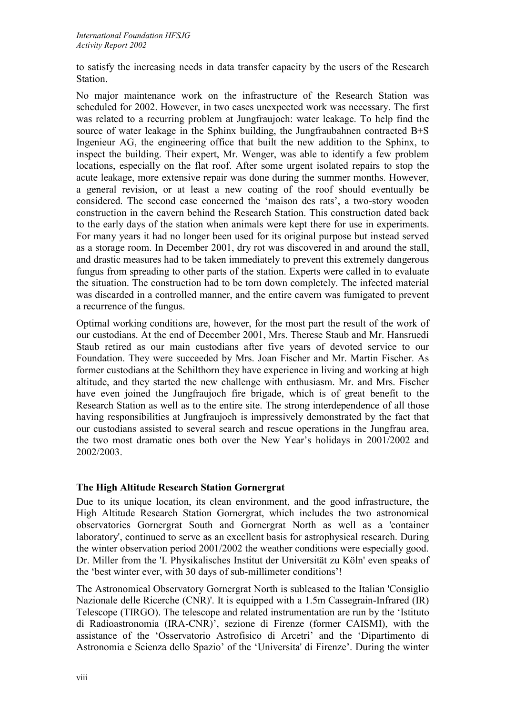to satisfy the increasing needs in data transfer capacity by the users of the Research Station.

No major maintenance work on the infrastructure of the Research Station was scheduled for 2002. However, in two cases unexpected work was necessary. The first was related to a recurring problem at Jungfraujoch: water leakage. To help find the source of water leakage in the Sphinx building, the Jungfraubahnen contracted B+S Ingenieur AG, the engineering office that built the new addition to the Sphinx, to inspect the building. Their expert, Mr. Wenger, was able to identify a few problem locations, especially on the flat roof. After some urgent isolated repairs to stop the acute leakage, more extensive repair was done during the summer months. However, a general revision, or at least a new coating of the roof should eventually be considered. The second case concerned the 'maison des rats', a two-story wooden construction in the cavern behind the Research Station. This construction dated back to the early days of the station when animals were kept there for use in experiments. For many years it had no longer been used for its original purpose but instead served as a storage room. In December 2001, dry rot was discovered in and around the stall, and drastic measures had to be taken immediately to prevent this extremely dangerous fungus from spreading to other parts of the station. Experts were called in to evaluate the situation. The construction had to be torn down completely. The infected material was discarded in a controlled manner, and the entire cavern was fumigated to prevent a recurrence of the fungus.

Optimal working conditions are, however, for the most part the result of the work of our custodians. At the end of December 2001, Mrs. Therese Staub and Mr. Hansruedi Staub retired as our main custodians after five years of devoted service to our Foundation. They were succeeded by Mrs. Joan Fischer and Mr. Martin Fischer. As former custodians at the Schilthorn they have experience in living and working at high altitude, and they started the new challenge with enthusiasm. Mr. and Mrs. Fischer have even joined the Jungfraujoch fire brigade, which is of great benefit to the Research Station as well as to the entire site. The strong interdependence of all those having responsibilities at Jungfraujoch is impressively demonstrated by the fact that our custodians assisted to several search and rescue operations in the Jungfrau area, the two most dramatic ones both over the New Year's holidays in 2001/2002 and 2002/2003.

### **The High Altitude Research Station Gornergrat**

Due to its unique location, its clean environment, and the good infrastructure, the High Altitude Research Station Gornergrat, which includes the two astronomical observatories Gornergrat South and Gornergrat North as well as a 'container laboratory', continued to serve as an excellent basis for astrophysical research. During the winter observation period 2001/2002 the weather conditions were especially good. Dr. Miller from the 'I. Physikalisches Institut der Universität zu Köln' even speaks of the 'best winter ever, with 30 days of sub-millimeter conditions'!

The Astronomical Observatory Gornergrat North is subleased to the Italian 'Consiglio Nazionale delle Ricerche (CNR)'. It is equipped with a 1.5m Cassegrain-Infrared (IR) Telescope (TIRGO). The telescope and related instrumentation are run by the 'Istituto di Radioastronomia (IRA-[CNR\)](http://www.arcetri.astro.it/irlab/cnr/cnr.html)', sezione di Firenze (former CAISMI), with the assistance of the ['Osservatorio Astrofisico di Arcetri' a](http://www.arcetri.astro.it/)nd the ['Dipartimento di](http://www.arcetri.astro.it/Dipartimento)  [Astronomia e Scienza dello Spazio' o](http://www.arcetri.astro.it/Dipartimento)f the '[Universita' di Firenze'](http://www.unifi.it/). During the winter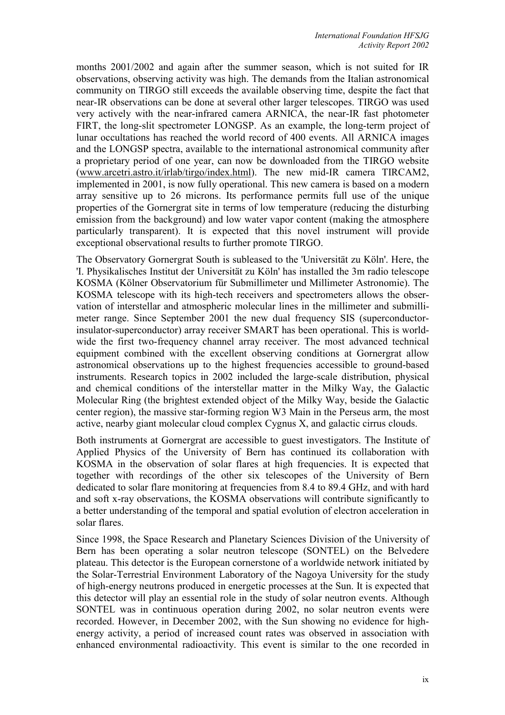months 2001/2002 and again after the summer season, which is not suited for IR observations, observing activity was high. The demands from the Italian astronomical community on TIRGO still exceeds the available observing time, despite the fact that near-IR observations can be done at several other larger telescopes. [TI](http://www.arcetri.astro.it/)RGO was used very actively with the near-infrared camera ARNICA, the near-IR fast photometer FIRT, the long-slit spectrometer LONGSP. As an example, the long-term project of lunar occultations has reached the world record of 400 events. All ARNICA images and the LONGSP spectra, available to the international astronomical community after a proprietary period of one year, can now be downloaded from the TIRGO website ([www.arcetri.astro.it/irlab/tirgo/index.html\)](http://www.arcetri.astro.it/irlab/tirgo/index.html). The new mid-IR camera TIRCAM2, implemented in 2001, is now fully operational. This new camera is based on a modern array sensitive up to 26 microns. Its performance permits full use of the unique properties of the Gornergrat site in terms of low temperature (reducing the disturbing emission from the background) and low water vapor content (making the atmosphere particularly transparent). It is expected that this novel instrument will provide exceptional observational results to further promote TIRGO.

The Observatory Gornergrat South is subleased to the 'Universität zu Köln'. Here, the 'I. Physikalisches Institut der Universität zu Köln' has installed the 3m radio telescope KOSMA (Kölner Observatorium für Submillimeter und Millimeter Astronomie). The KOSMA telescope with its high-tech receivers and spectrometers allows the observation of interstellar and atmospheric molecular lines in the millimeter and submillimeter range. Since September 2001 the new dual frequency SIS (superconductorinsulator-superconductor) array receiver SMART has been operational. This is worldwide the first two-frequency channel array receiver. The most advanced technical equipment combined with the excellent observing conditions at Gornergrat allow astronomical observations up to the highest frequencies accessible to ground-based instruments. Research topics in 2002 included the large-scale distribution, physical and chemical conditions of the interstellar matter in the Milky Way, the Galactic Molecular Ring (the brightest extended object of the Milky Way, beside the Galactic center region), the massive star-forming region W3 Main in the Perseus arm, the most active, nearby giant molecular cloud complex Cygnus X, and galactic cirrus clouds.

Both instruments at Gornergrat are accessible to guest investigators. The Institute of Applied Physics of the University of Bern has continued its collaboration with KOSMA in the observation of solar flares at high frequencies. It is expected that together with recordings of the other six telescopes of the University of Bern dedicated to solar flare monitoring at frequencies from 8.4 to 89.4 GHz, and with hard and soft x-ray observations, the KOSMA observations will contribute significantly to a better understanding of the temporal and spatial evolution of electron acceleration in solar flares.

Since 1998, the Space Research and Planetary Sciences Division of the University of Bern has been operating a solar neutron telescope (SONTEL) on the Belvedere plateau. This detector is the European cornerstone of a worldwide network initiated by the Solar-Terrestrial Environment Laboratory of the Nagoya University for the study of high-energy neutrons produced in energetic processes at the Sun. It is expected that this detector will play an essential role in the study of solar neutron events. Although SONTEL was in continuous operation during 2002, no solar neutron events were recorded. However, in December 2002, with the Sun showing no evidence for highenergy activity, a period of increased count rates was observed in association with enhanced environmental radioactivity. This event is similar to the one recorded in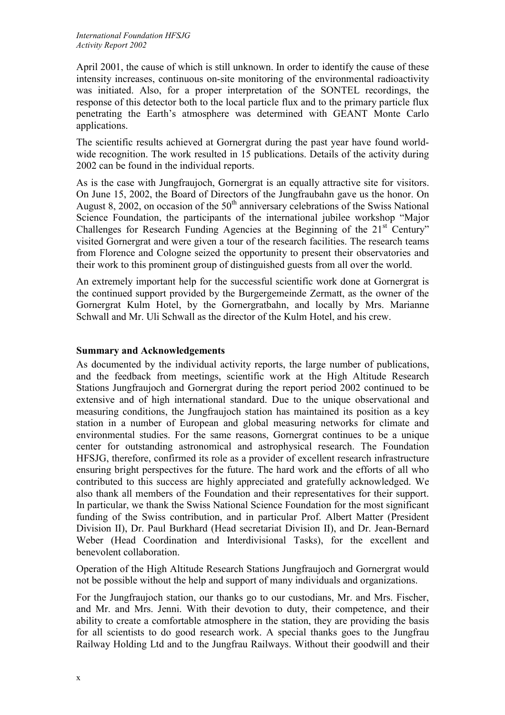April 2001, the cause of which is still unknown. In order to identify the cause of these intensity increases, continuous on-site monitoring of the environmental radioactivity was initiated. Also, for a proper interpretation of the SONTEL recordings, the response of this detector both to the local particle flux and to the primary particle flux penetrating the Earth's atmosphere was determined with GEANT Monte Carlo applications.

The scientific results achieved at Gornergrat during the past year have found worldwide recognition. The work resulted in 15 publications. Details of the activity during 2002 can be found in the individual reports.

As is the case with Jungfraujoch, Gornergrat is an equally attractive site for visitors. On June 15, 2002, the Board of Directors of the Jungfraubahn gave us the honor. On August 8, 2002, on occasion of the  $50<sup>th</sup>$  anniversary celebrations of the Swiss National Science Foundation, the participants of the international jubilee workshop "Major Challenges for Research Funding Agencies at the Beginning of the 21<sup>st</sup> Century" visited Gornergrat and were given a tour of the research facilities. The research teams from Florence and Cologne seized the opportunity to present their observatories and their work to this prominent group of distinguished guests from all over the world.

An extremely important help for the successful scientific work done at Gornergrat is the continued support provided by the Burgergemeinde Zermatt, as the owner of the Gornergrat Kulm Hotel, by the Gornergratbahn, and locally by Mrs. Marianne Schwall and Mr. Uli Schwall as the director of the Kulm Hotel, and his crew.

#### **Summary and Acknowledgements**

As documented by the individual activity reports, the large number of publications, and the feedback from meetings, scientific work at the High Altitude Research Stations Jungfraujoch and Gornergrat during the report period 2002 continued to be extensive and of high international standard. Due to the unique observational and measuring conditions, the Jungfraujoch station has maintained its position as a key station in a number of European and global measuring networks for climate and environmental studies. For the same reasons, Gornergrat continues to be a unique center for outstanding astronomical and astrophysical research. The Foundation HFSJG, therefore, confirmed its role as a provider of excellent research infrastructure ensuring bright perspectives for the future. The hard work and the efforts of all who contributed to this success are highly appreciated and gratefully acknowledged. We also thank all members of the Foundation and their representatives for their support. In particular, we thank the Swiss National Science Foundation for the most significant funding of the Swiss contribution, and in particular Prof. Albert Matter (President Division II), Dr. Paul Burkhard (Head secretariat Division II), and Dr. Jean-Bernard Weber (Head Coordination and Interdivisional Tasks), for the excellent and benevolent collaboration.

Operation of the High Altitude Research Stations Jungfraujoch and Gornergrat would not be possible without the help and support of many individuals and organizations.

For the Jungfraujoch station, our thanks go to our custodians, Mr. and Mrs. Fischer, and Mr. and Mrs. Jenni. With their devotion to duty, their competence, and their ability to create a comfortable atmosphere in the station, they are providing the basis for all scientists to do good research work. A special thanks goes to the Jungfrau Railway Holding Ltd and to the Jungfrau Railways. Without their goodwill and their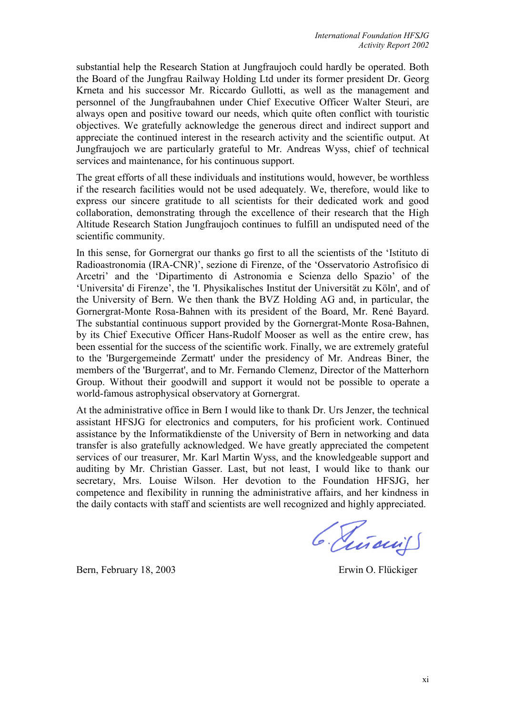substantial help the Research Station at Jungfraujoch could hardly be operated. Both the Board of the Jungfrau Railway Holding Ltd under its former president Dr. Georg Krneta and his successor Mr. Riccardo Gullotti, as well as the management and personnel of the Jungfraubahnen under Chief Executive Officer Walter Steuri, are always open and positive toward our needs, which quite often conflict with touristic objectives. We gratefully acknowledge the generous direct and indirect support and appreciate the continued interest in the research activity and the scientific output. At Jungfraujoch we are particularly grateful to Mr. Andreas Wyss, chief of technical services and maintenance, for his continuous support.

The great efforts of all these individuals and institutions would, however, be worthless if the research facilities would not be used adequately. We, therefore, would like to express our sincere gratitude to all scientists for their dedicated work and good collaboration, demonstrating through the excellence of their research that the High Altitude Research Station Jungfraujoch continues to fulfill an undisputed need of the scientific community.

In this sense, for Gornergrat our thanks go first to all the scientists of the 'Istituto di Radioastronomia (IRA-[CNR\)](http://www.arcetri.astro.it/irlab/cnr/cnr.html)', sezione di Firenze, of the ['Osservatorio Astrofisico di](http://www.arcetri.astro.it/)  [Arcetri' a](http://www.arcetri.astro.it/)nd the '[Dipartimento di Astronomia e Scienza dello Spazio' o](http://www.arcetri.astro.it/Dipartimento)f the '[Universita' di Firenze'](http://www.unifi.it/), the 'I. Physikalisches Institut der Universität zu Köln', and of the University of Bern. We then thank the BVZ Holding AG and, in particular, the Gornergrat-Monte Rosa-Bahnen with its president of the Board, Mr. René Bayard. The substantial continuous support provided by the Gornergrat-Monte Rosa-Bahnen, by its Chief Executive Officer Hans-Rudolf Mooser as well as the entire crew, has been essential for the success of the scientific work. Finally, we are extremely grateful to the 'Burgergemeinde Zermatt' under the presidency of Mr. Andreas Biner, the members of the 'Burgerrat', and to Mr. Fernando Clemenz, Director of the Matterhorn Group. Without their goodwill and support it would not be possible to operate a world-famous astrophysical observatory at Gornergrat.

At the administrative office in Bern I would like to thank Dr. Urs Jenzer, the technical assistant HFSJG for electronics and computers, for his proficient work. Continued assistance by the Informatikdienste of the University of Bern in networking and data transfer is also gratefully acknowledged. We have greatly appreciated the competent services of our treasurer, Mr. Karl Martin Wyss, and the knowledgeable support and auditing by Mr. Christian Gasser. Last, but not least, I would like to thank our secretary, Mrs. Louise Wilson. Her devotion to the Foundation HFSJG, her competence and flexibility in running the administrative affairs, and her kindness in the daily contacts with staff and scientists are well recognized and highly appreciated.

Bern, February 18, 2003 Erwin O. Flückiger

6. Piñaciis